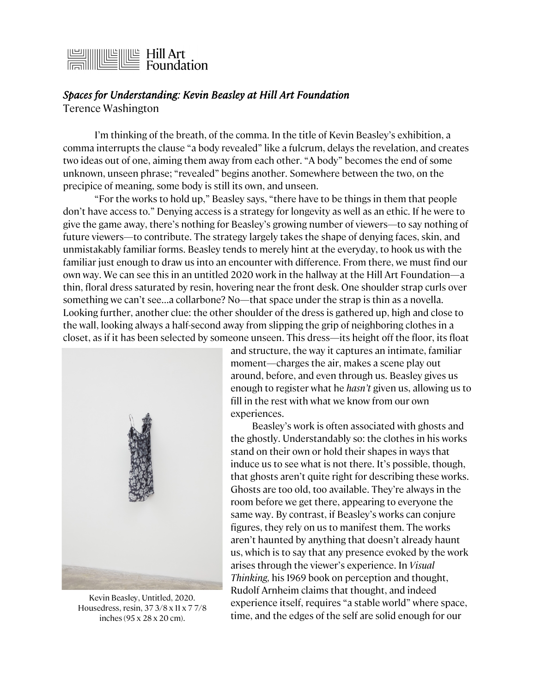## $\frac{1}{\sqrt{\frac{1}{\sqrt{\frac{1}{\sqrt{\frac{1}{\sqrt{\frac{1}{\sqrt{\frac{1}{\sqrt{\frac{1}{\sqrt{\frac{1}{\sqrt{\frac{1}{\sqrt{\frac{1}{\sqrt{\frac{1}{\sqrt{\frac{1}{\sqrt{\frac{1}{\sqrt{\frac{1}{\sqrt{\frac{1}{\sqrt{\frac{1}{\sqrt{\frac{1}{\sqrt{\frac{1}{\sqrt{\frac{1}{\sqrt{\frac{1}{\sqrt{\frac{1}{\sqrt{\frac{1}{\sqrt{\frac{1}{\sqrt{\frac{1}{\sqrt{\frac{1}{\sqrt{\frac{1}{\sqrt{\frac{1}{\sqrt{\sqrt \frac{1}{\sqrt{\sqrt \frac{1}{\sqrt \sqrt{\frac{1}{\sqrt \sqrt{\frac$

## *Spaces for Understanding: Kevin Beasley at Hill Art Foundation*

Terence Washington

I'm thinking of the breath, of the comma. In the title of Kevin Beasley's exhibition, a comma interrupts the clause "a body revealed" like a fulcrum, delays the revelation, and creates two ideas out of one, aiming them away from each other. "A body" becomes the end of some unknown, unseen phrase; "revealed" begins another. Somewhere between the two, on the precipice of meaning, some body is still its own, and unseen.

"For the works to hold up," Beasley says, "there have to be things in them that people don't have access to." Denying access is a strategy for longevity as well as an ethic. If he were to give the game away, there's nothing for Beasley's growing number of viewers—to say nothing of future viewers—to contribute. The strategy largely takes the shape of denying faces, skin, and unmistakably familiar forms. Beasley tends to merely hint at the everyday, to hook us with the familiar just enough to draw us into an encounter with difference. From there, we must find our own way. We can see this in an untitled 2020 work in the hallway at the Hill Art Foundation—a thin, floral dress saturated by resin, hovering near the front desk. One shoulder strap curls over something we can't see…a collarbone? No—that space under the strap is thin as a novella. Looking further, another clue: the other shoulder of the dress is gathered up, high and close to the wall, looking always a half-second away from slipping the grip of neighboring clothes in a closet, as if it has been selected by someone unseen. This dress—its height off the floor, its float



Kevin Beasley, Untitled, 2020. Housedress, resin, 37 3/8 x 11 x 7 7/8 inches (95 x 28 x 20 cm).

and structure, the way it captures an intimate, familiar moment—charges the air, makes a scene play out around, before, and even through us. Beasley gives us enough to register what he *hasn't* given us, allowing us to fill in the rest with what we know from our own experiences.

Beasley's work is often associated with ghosts and the ghostly. Understandably so: the clothes in his works stand on their own or hold their shapes in ways that induce us to see what is not there. It's possible, though, that ghosts aren't quite right for describing these works. Ghosts are too old, too available. They're always in the room before we get there, appearing to everyone the same way. By contrast, if Beasley's works can conjure figures, they rely on us to manifest them. The works aren't haunted by anything that doesn't already haunt us, which is to say that any presence evoked by the work arises through the viewer's experience. In *Visual Thinking,* his 1969 book on perception and thought, Rudolf Arnheim claims that thought, and indeed experience itself, requires "a stable world" where space, time, and the edges of the self are solid enough for our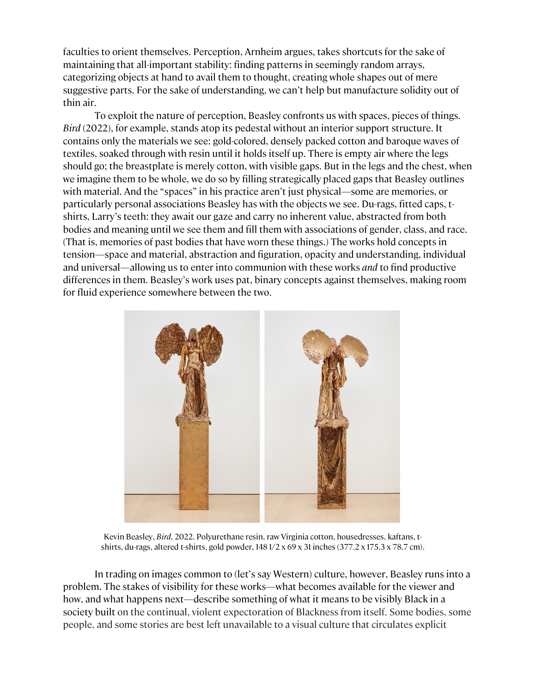faculties to orient themselves. Perception, Arnheim argues, takes shortcuts for the sake of maintaining that all-important stability: finding patterns in seemingly random arrays, categorizing objects at hand to avail them to thought, creating whole shapes out of mere suggestive parts. For the sake of understanding, we can't help but manufacture solidity out of thin air.

To exploit the nature of perception, Beasley confronts us with spaces, pieces of things. *Bird* (2022), for example, stands atop its pedestal without an interior support structure. It contains only the materials we see: gold-colored, densely packed cotton and baroque waves of textiles, soaked through with resin until it holds itself up. There is empty air where the legs should go; the breastplate is merely cotton, with visible gaps. But in the legs and the chest, when we imagine them to be whole, we do so by filling strategically placed gaps that Beasley outlines with material. And the "spaces" in his practice aren't just physical—some are memories, or particularly personal associations Beasley has with the objects we see. Du-rags, fitted caps, tshirts, Larry's teeth: they await our gaze and carry no inherent value, abstracted from both bodies and meaning until we see them and fill them with associations of gender, class, and race. (That is, memories of past bodies that have worn these things.) The works hold concepts in tension—space and material, abstraction and figuration, opacity and understanding, individual and universal—allowing us to enter into communion with these works *and* to find productive differences in them. Beasley's work uses pat, binary concepts against themselves, making room for fluid experience somewhere between the two.



Kevin Beasley, *Bird*, 2022. Polyurethane resin, raw Virginia cotton, housedresses, kaftans, tshirts, du-rags, altered t-shirts, gold powder, 148 1/2 x 69 x 31 inches (377.2 x 175.3 x 78.7 cm).

In trading on images common to (let's say Western) culture, however, Beasley runs into a problem. The stakes of visibility for these works—what becomes available for the viewer and how, and what happens next—describe something of what it means to be visibly Black in a society built on the continual, violent expectoration of Blackness from itself. Some bodies, some people, and some stories are best left unavailable to a visual culture that circulates explicit